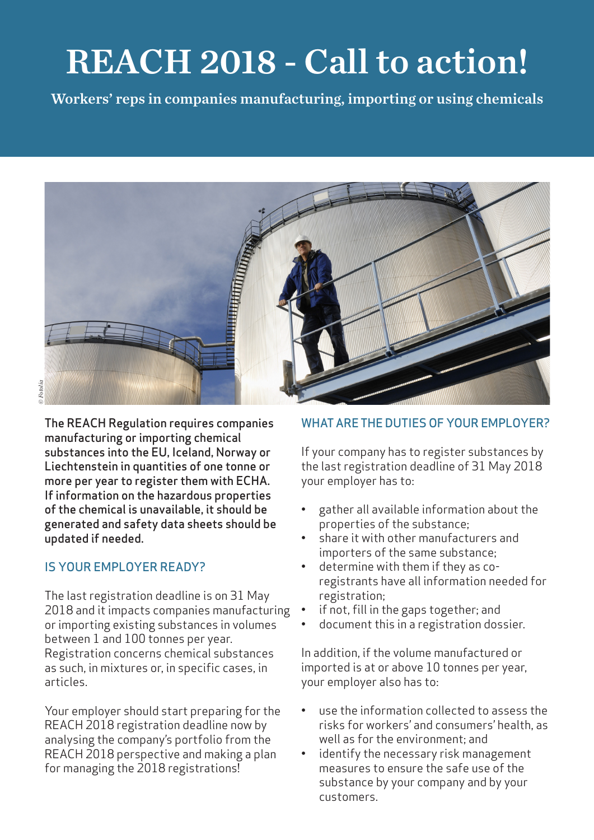# REACH 2018 - Call to action!

Workers' reps in companies manufacturing, importing or using chemicals



The REACH Regulation requires companies manufacturing or importing chemical substances into the EU, Iceland, Norway or Liechtenstein in quantities of one tonne or more per year to register them with ECHA. If information on the hazardous properties of the chemical is unavailable, it should be generated and safety data sheets should be updated if needed.

## IS YOUR EMPLOYER READY?

The last registration deadline is on 31 May 2018 and it impacts companies manufacturing or importing existing substances in volumes between 1 and 100 tonnes per year. Registration concerns chemical substances as such, in mixtures or, in specific cases, in articles.

Your employer should start preparing for the REACH 2018 registration deadline now by analysing the company's portfolio from the REACH 2018 perspective and making a plan for managing the 2018 registrations!

## WHAT ARE THE DUTIES OF YOUR EMPLOYER?

If your company has to register substances by the last registration deadline of 31 May 2018 your employer has to:

- gather all available information about the properties of the substance;
- share it with other manufacturers and importers of the same substance;
- determine with them if they as coregistrants have all information needed for registration;
- if not, fill in the gaps together; and
- document this in a registration dossier.

In addition, if the volume manufactured or imported is at or above 10 tonnes per year, your employer also has to:

- use the information collected to assess the risks for workers' and consumers' health, as well as for the environment; and
- identify the necessary risk management measures to ensure the safe use of the substance by your company and by your customers.